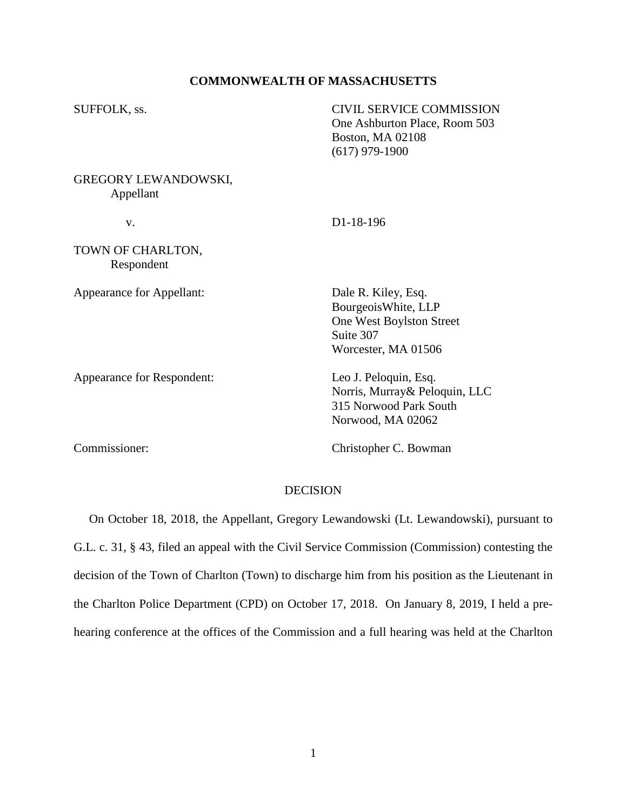# **COMMONWEALTH OF MASSACHUSETTS**

| SUFFOLK, ss.                             | <b>CIVIL SERVICE COMMISSION</b><br>One Ashburton Place, Room 503<br><b>Boston, MA 02108</b><br>$(617)$ 979-1900 |
|------------------------------------------|-----------------------------------------------------------------------------------------------------------------|
| <b>GREGORY LEWANDOWSKI,</b><br>Appellant |                                                                                                                 |
| V.                                       | D1-18-196                                                                                                       |
| TOWN OF CHARLTON,<br>Respondent          |                                                                                                                 |
| Appearance for Appellant:                | Dale R. Kiley, Esq.<br>Bourgeois White, LLP<br>One West Boylston Street<br>Suite 307<br>Worcester, MA 01506     |
| Appearance for Respondent:               | Leo J. Peloquin, Esq.<br>Norris, Murray& Peloquin, LLC<br>315 Norwood Park South<br>Norwood, MA 02062           |
| Commissioner:                            | Christopher C. Bowman                                                                                           |
|                                          | <b>DECISION</b>                                                                                                 |

 On October 18, 2018, the Appellant, Gregory Lewandowski (Lt. Lewandowski), pursuant to G.L. c. 31, § 43, filed an appeal with the Civil Service Commission (Commission) contesting the decision of the Town of Charlton (Town) to discharge him from his position as the Lieutenant in the Charlton Police Department (CPD) on October 17, 2018. On January 8, 2019, I held a prehearing conference at the offices of the Commission and a full hearing was held at the Charlton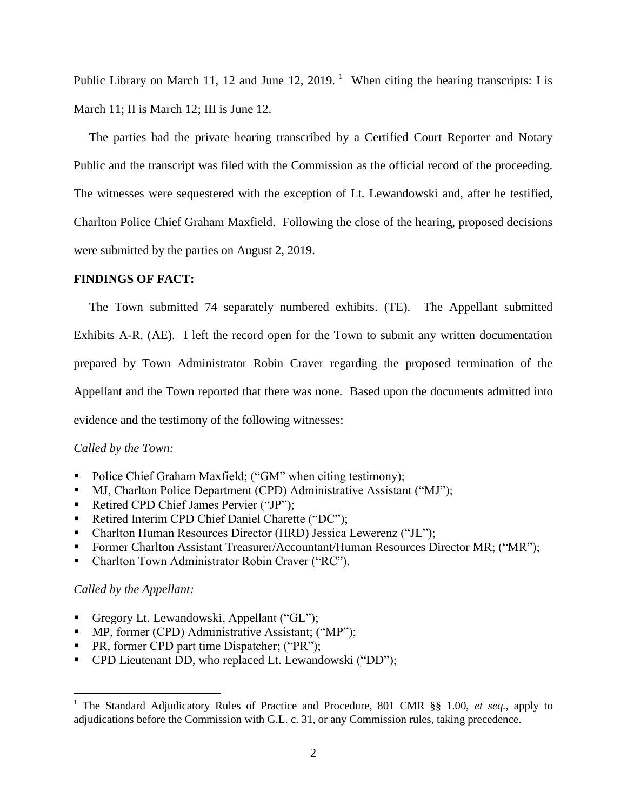Public Library on March 11, 12 and June 12, 2019.<sup>1</sup> When citing the hearing transcripts: I is March 11; II is March 12; III is June 12.

 The parties had the private hearing transcribed by a Certified Court Reporter and Notary Public and the transcript was filed with the Commission as the official record of the proceeding. The witnesses were sequestered with the exception of Lt. Lewandowski and, after he testified, Charlton Police Chief Graham Maxfield. Following the close of the hearing, proposed decisions were submitted by the parties on August 2, 2019.

## **FINDINGS OF FACT:**

 The Town submitted 74 separately numbered exhibits. (TE). The Appellant submitted Exhibits A-R. (AE). I left the record open for the Town to submit any written documentation prepared by Town Administrator Robin Craver regarding the proposed termination of the Appellant and the Town reported that there was none. Based upon the documents admitted into evidence and the testimony of the following witnesses:

## *Called by the Town:*

- Police Chief Graham Maxfield; ("GM" when citing testimony);
- MJ, Charlton Police Department (CPD) Administrative Assistant ("MJ");
- Retired CPD Chief James Pervier ("JP");
- Retired Interim CPD Chief Daniel Charette ("DC");
- Charlton Human Resources Director (HRD) Jessica Lewerenz ("JL");
- Former Charlton Assistant Treasurer/Accountant/Human Resources Director MR; ("MR");
- Charlton Town Administrator Robin Craver ("RC").

## *Called by the Appellant:*

 $\overline{a}$ 

- Gregory Lt. Lewandowski, Appellant ("GL");
- **MP**, former (CPD) Administrative Assistant; ("MP");
- PR, former CPD part time Dispatcher; ("PR");
- **•** CPD Lieutenant DD, who replaced Lt. Lewandowski ("DD");

<sup>1</sup> The Standard Adjudicatory Rules of Practice and Procedure, 801 CMR §§ 1.00, *et seq.*, apply to adjudications before the Commission with G.L. c. 31, or any Commission rules, taking precedence.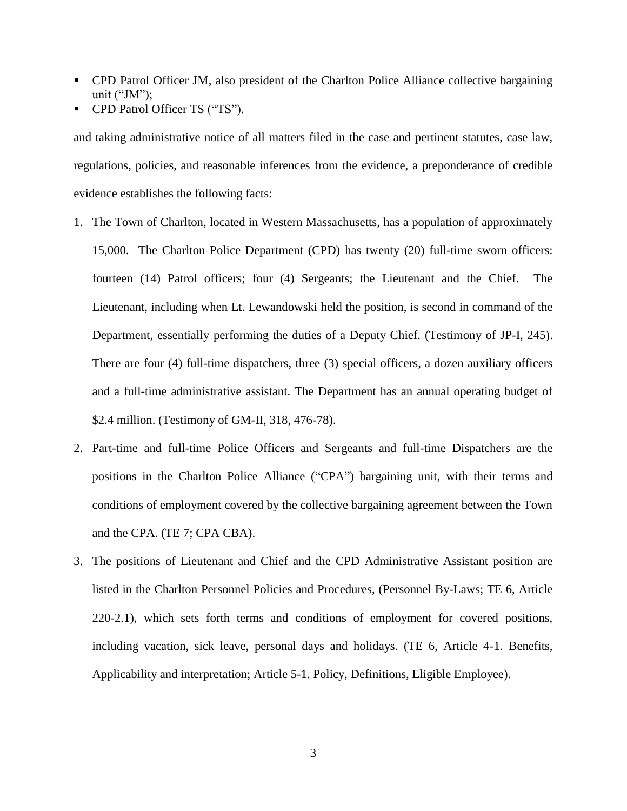- CPD Patrol Officer JM, also president of the Charlton Police Alliance collective bargaining unit ("JM");
- CPD Patrol Officer TS ("TS").

and taking administrative notice of all matters filed in the case and pertinent statutes, case law, regulations, policies, and reasonable inferences from the evidence, a preponderance of credible evidence establishes the following facts:

- 1. The Town of Charlton, located in Western Massachusetts, has a population of approximately 15,000. The Charlton Police Department (CPD) has twenty (20) full-time sworn officers: fourteen (14) Patrol officers; four (4) Sergeants; the Lieutenant and the Chief. The Lieutenant, including when Lt. Lewandowski held the position, is second in command of the Department, essentially performing the duties of a Deputy Chief. (Testimony of JP-I, 245). There are four (4) full-time dispatchers, three (3) special officers, a dozen auxiliary officers and a full-time administrative assistant. The Department has an annual operating budget of \$2.4 million. (Testimony of GM-II, 318, 476-78).
- 2. Part-time and full-time Police Officers and Sergeants and full-time Dispatchers are the positions in the Charlton Police Alliance ("CPA") bargaining unit, with their terms and conditions of employment covered by the collective bargaining agreement between the Town and the CPA. (TE 7; CPA CBA).
- 3. The positions of Lieutenant and Chief and the CPD Administrative Assistant position are listed in the Charlton Personnel Policies and Procedures, (Personnel By-Laws; TE 6, Article 220-2.1), which sets forth terms and conditions of employment for covered positions, including vacation, sick leave, personal days and holidays. (TE 6, Article 4-1. Benefits, Applicability and interpretation; Article 5-1. Policy, Definitions, Eligible Employee).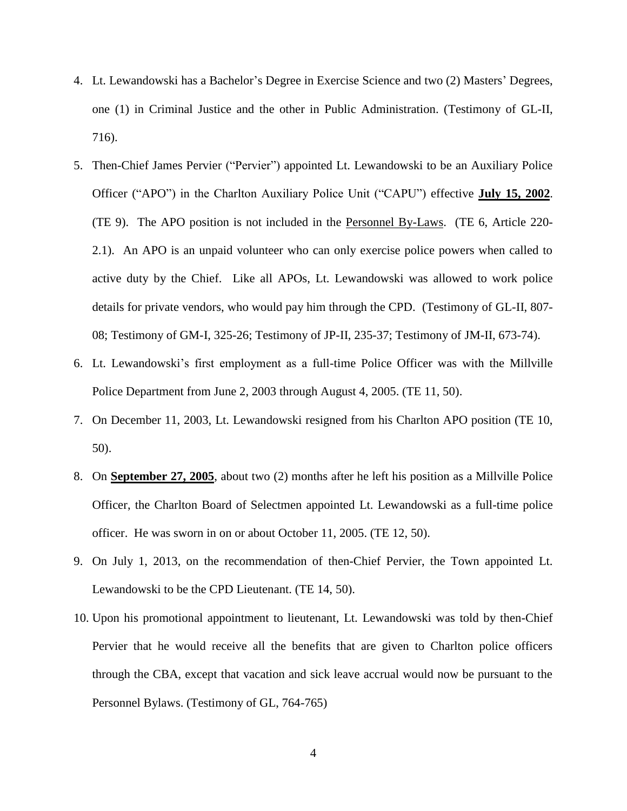- 4. Lt. Lewandowski has a Bachelor's Degree in Exercise Science and two (2) Masters' Degrees, one (1) in Criminal Justice and the other in Public Administration. (Testimony of GL-II, 716).
- 5. Then-Chief James Pervier ("Pervier") appointed Lt. Lewandowski to be an Auxiliary Police Officer ("APO") in the Charlton Auxiliary Police Unit ("CAPU") effective **July 15, 2002**. (TE 9). The APO position is not included in the Personnel By-Laws. (TE 6, Article 220- 2.1). An APO is an unpaid volunteer who can only exercise police powers when called to active duty by the Chief. Like all APOs, Lt. Lewandowski was allowed to work police details for private vendors, who would pay him through the CPD. (Testimony of GL-II, 807- 08; Testimony of GM-I, 325-26; Testimony of JP-II, 235-37; Testimony of JM-II, 673-74).
- 6. Lt. Lewandowski's first employment as a full-time Police Officer was with the Millville Police Department from June 2, 2003 through August 4, 2005. (TE 11, 50).
- 7. On December 11, 2003, Lt. Lewandowski resigned from his Charlton APO position (TE 10, 50).
- 8. On **September 27, 2005**, about two (2) months after he left his position as a Millville Police Officer, the Charlton Board of Selectmen appointed Lt. Lewandowski as a full-time police officer. He was sworn in on or about October 11, 2005. (TE 12, 50).
- 9. On July 1, 2013, on the recommendation of then-Chief Pervier, the Town appointed Lt. Lewandowski to be the CPD Lieutenant. (TE 14, 50).
- 10. Upon his promotional appointment to lieutenant, Lt. Lewandowski was told by then-Chief Pervier that he would receive all the benefits that are given to Charlton police officers through the CBA, except that vacation and sick leave accrual would now be pursuant to the Personnel Bylaws. (Testimony of GL, 764-765)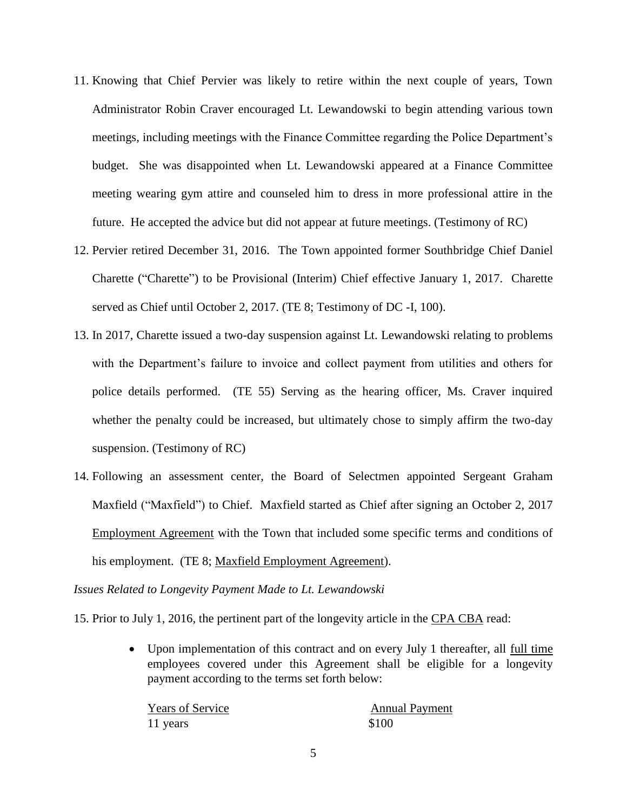- 11. Knowing that Chief Pervier was likely to retire within the next couple of years, Town Administrator Robin Craver encouraged Lt. Lewandowski to begin attending various town meetings, including meetings with the Finance Committee regarding the Police Department's budget. She was disappointed when Lt. Lewandowski appeared at a Finance Committee meeting wearing gym attire and counseled him to dress in more professional attire in the future. He accepted the advice but did not appear at future meetings. (Testimony of RC)
- 12. Pervier retired December 31, 2016. The Town appointed former Southbridge Chief Daniel Charette ("Charette") to be Provisional (Interim) Chief effective January 1, 2017. Charette served as Chief until October 2, 2017. (TE 8; Testimony of DC -I, 100).
- 13. In 2017, Charette issued a two-day suspension against Lt. Lewandowski relating to problems with the Department's failure to invoice and collect payment from utilities and others for police details performed. (TE 55) Serving as the hearing officer, Ms. Craver inquired whether the penalty could be increased, but ultimately chose to simply affirm the two-day suspension. (Testimony of RC)
- 14. Following an assessment center, the Board of Selectmen appointed Sergeant Graham Maxfield ("Maxfield") to Chief. Maxfield started as Chief after signing an October 2, 2017 Employment Agreement with the Town that included some specific terms and conditions of his employment. (TE 8; Maxfield Employment Agreement).

*Issues Related to Longevity Payment Made to Lt. Lewandowski*

15. Prior to July 1, 2016, the pertinent part of the longevity article in the CPA CBA read:

 Upon implementation of this contract and on every July 1 thereafter, all full time employees covered under this Agreement shall be eligible for a longevity payment according to the terms set forth below:

Years of Service Annual Payment 11 years \$100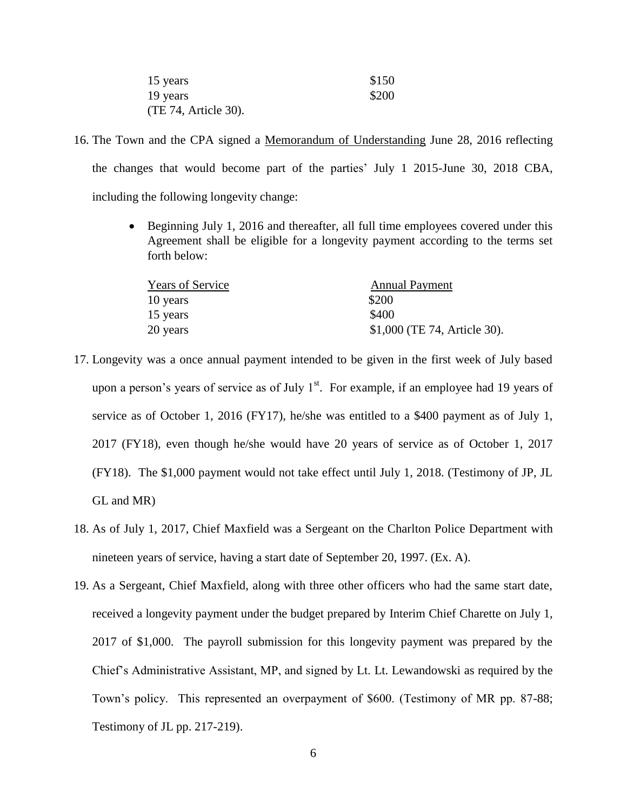| 15 years             | \$150 |
|----------------------|-------|
| 19 years             | \$200 |
| (TE 74, Article 30). |       |

- 16. The Town and the CPA signed a Memorandum of Understanding June 28, 2016 reflecting the changes that would become part of the parties' July 1 2015-June 30, 2018 CBA, including the following longevity change:
	- Beginning July 1, 2016 and thereafter, all full time employees covered under this Agreement shall be eligible for a longevity payment according to the terms set forth below:

| Years of Service | <b>Annual Payment</b>        |
|------------------|------------------------------|
| 10 years         | \$200                        |
| 15 years         | \$400                        |
| 20 years         | \$1,000 (TE 74, Article 30). |

- 17. Longevity was a once annual payment intended to be given in the first week of July based upon a person's years of service as of July  $1<sup>st</sup>$ . For example, if an employee had 19 years of service as of October 1, 2016 (FY17), he/she was entitled to a \$400 payment as of July 1, 2017 (FY18), even though he/she would have 20 years of service as of October 1, 2017 (FY18). The \$1,000 payment would not take effect until July 1, 2018. (Testimony of JP, JL GL and MR)
- 18. As of July 1, 2017, Chief Maxfield was a Sergeant on the Charlton Police Department with nineteen years of service, having a start date of September 20, 1997. (Ex. A).
- 19. As a Sergeant, Chief Maxfield, along with three other officers who had the same start date, received a longevity payment under the budget prepared by Interim Chief Charette on July 1, 2017 of \$1,000. The payroll submission for this longevity payment was prepared by the Chief's Administrative Assistant, MP, and signed by Lt. Lt. Lewandowski as required by the Town's policy. This represented an overpayment of \$600. (Testimony of MR pp. 87-88; Testimony of JL pp. 217-219).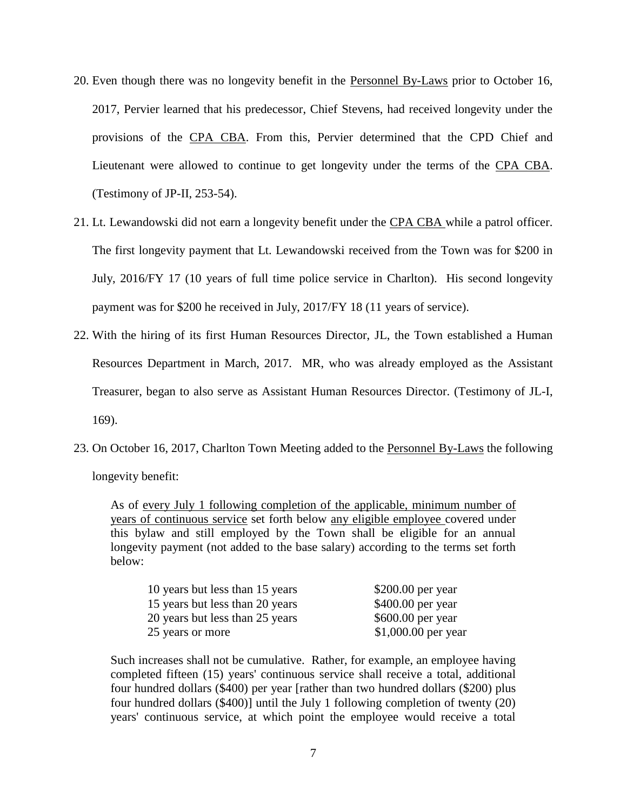- 20. Even though there was no longevity benefit in the Personnel By-Laws prior to October 16, 2017, Pervier learned that his predecessor, Chief Stevens, had received longevity under the provisions of the CPA CBA. From this, Pervier determined that the CPD Chief and Lieutenant were allowed to continue to get longevity under the terms of the CPA CBA. (Testimony of JP-II, 253-54).
- 21. Lt. Lewandowski did not earn a longevity benefit under the CPA CBA while a patrol officer. The first longevity payment that Lt. Lewandowski received from the Town was for \$200 in July, 2016/FY 17 (10 years of full time police service in Charlton). His second longevity payment was for \$200 he received in July, 2017/FY 18 (11 years of service).
- 22. With the hiring of its first Human Resources Director, JL, the Town established a Human Resources Department in March, 2017. MR, who was already employed as the Assistant Treasurer, began to also serve as Assistant Human Resources Director. (Testimony of JL-I, 169).
- 23. On October 16, 2017, Charlton Town Meeting added to the Personnel By-Laws the following longevity benefit:

As of every July 1 following completion of the applicable, minimum number of years of continuous service set forth below any eligible employee covered under this bylaw and still employed by the Town shall be eligible for an annual longevity payment (not added to the base salary) according to the terms set forth below:

| 10 years but less than 15 years | $$200.00$ per year  |
|---------------------------------|---------------------|
| 15 years but less than 20 years | $$400.00$ per year  |
| 20 years but less than 25 years | $$600.00$ per year  |
| 25 years or more                | \$1,000.00 per year |

Such increases shall not be cumulative. Rather, for example, an employee having completed fifteen (15) years' continuous service shall receive a total, additional four hundred dollars (\$400) per year [rather than two hundred dollars (\$200) plus four hundred dollars (\$400)] until the July 1 following completion of twenty (20) years' continuous service, at which point the employee would receive a total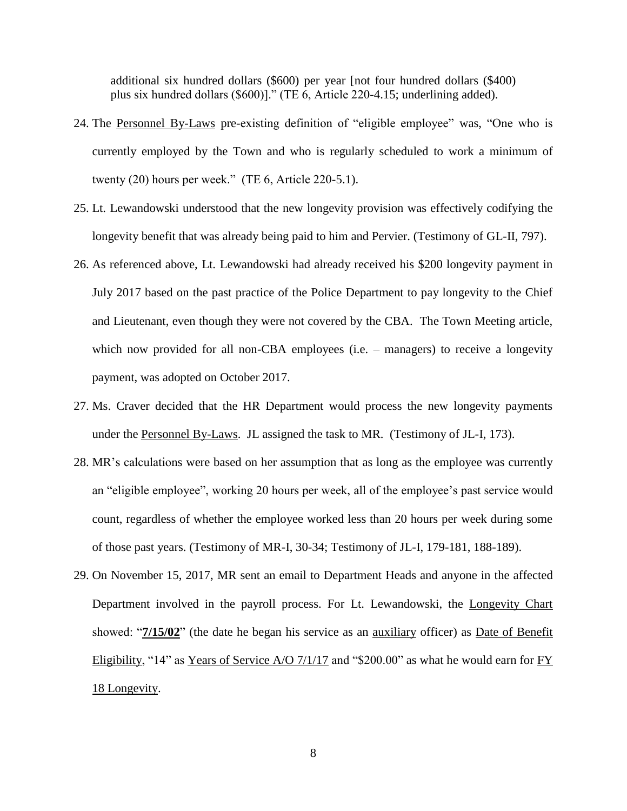additional six hundred dollars (\$600) per year [not four hundred dollars (\$400) plus six hundred dollars (\$600)]." (TE 6, Article 220-4.15; underlining added).

- 24. The Personnel By-Laws pre-existing definition of "eligible employee" was, "One who is currently employed by the Town and who is regularly scheduled to work a minimum of twenty (20) hours per week." (TE 6, Article 220-5.1).
- 25. Lt. Lewandowski understood that the new longevity provision was effectively codifying the longevity benefit that was already being paid to him and Pervier. (Testimony of GL-II, 797).
- 26. As referenced above, Lt. Lewandowski had already received his \$200 longevity payment in July 2017 based on the past practice of the Police Department to pay longevity to the Chief and Lieutenant, even though they were not covered by the CBA. The Town Meeting article, which now provided for all non-CBA employees (i.e. – managers) to receive a longevity payment, was adopted on October 2017.
- 27. Ms. Craver decided that the HR Department would process the new longevity payments under the Personnel By-Laws. JL assigned the task to MR. (Testimony of JL-I, 173).
- 28. MR's calculations were based on her assumption that as long as the employee was currently an "eligible employee", working 20 hours per week, all of the employee's past service would count, regardless of whether the employee worked less than 20 hours per week during some of those past years. (Testimony of MR-I, 30-34; Testimony of JL-I, 179-181, 188-189).
- 29. On November 15, 2017, MR sent an email to Department Heads and anyone in the affected Department involved in the payroll process. For Lt. Lewandowski, the Longevity Chart showed: "**7/15/02**" (the date he began his service as an auxiliary officer) as Date of Benefit Eligibility, "14" as Years of Service A/O 7/1/17 and "\$200.00" as what he would earn for FY 18 Longevity.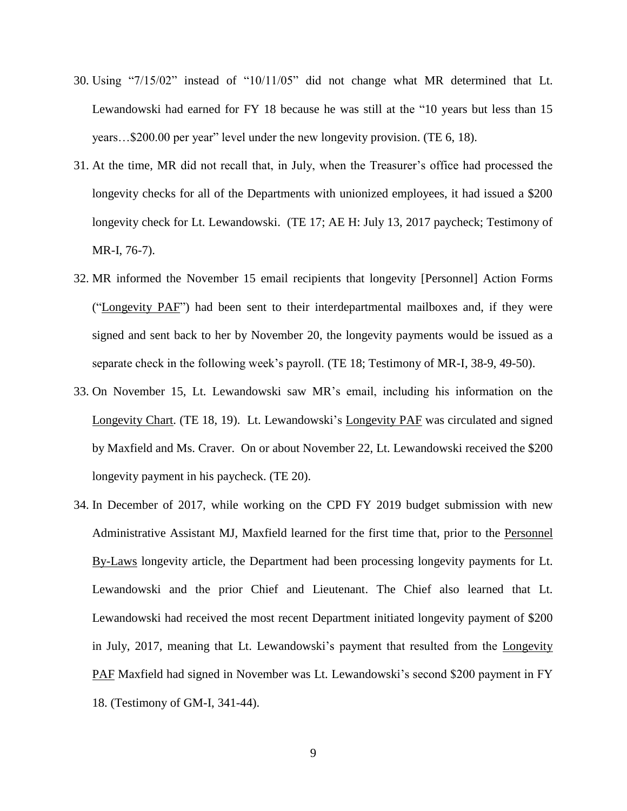- 30. Using "7/15/02" instead of "10/11/05" did not change what MR determined that Lt. Lewandowski had earned for FY 18 because he was still at the "10 years but less than 15 years…\$200.00 per year" level under the new longevity provision. (TE 6, 18).
- 31. At the time, MR did not recall that, in July, when the Treasurer's office had processed the longevity checks for all of the Departments with unionized employees, it had issued a \$200 longevity check for Lt. Lewandowski. (TE 17; AE H: July 13, 2017 paycheck; Testimony of MR-I, 76-7).
- 32. MR informed the November 15 email recipients that longevity [Personnel] Action Forms ("Longevity PAF") had been sent to their interdepartmental mailboxes and, if they were signed and sent back to her by November 20, the longevity payments would be issued as a separate check in the following week's payroll. (TE 18; Testimony of MR-I, 38-9, 49-50).
- 33. On November 15, Lt. Lewandowski saw MR's email, including his information on the Longevity Chart. (TE 18, 19). Lt. Lewandowski's Longevity PAF was circulated and signed by Maxfield and Ms. Craver. On or about November 22, Lt. Lewandowski received the \$200 longevity payment in his paycheck. (TE 20).
- 34. In December of 2017, while working on the CPD FY 2019 budget submission with new Administrative Assistant MJ, Maxfield learned for the first time that, prior to the Personnel By-Laws longevity article, the Department had been processing longevity payments for Lt. Lewandowski and the prior Chief and Lieutenant. The Chief also learned that Lt. Lewandowski had received the most recent Department initiated longevity payment of \$200 in July, 2017, meaning that Lt. Lewandowski's payment that resulted from the Longevity PAF Maxfield had signed in November was Lt. Lewandowski's second \$200 payment in FY 18. (Testimony of GM-I, 341-44).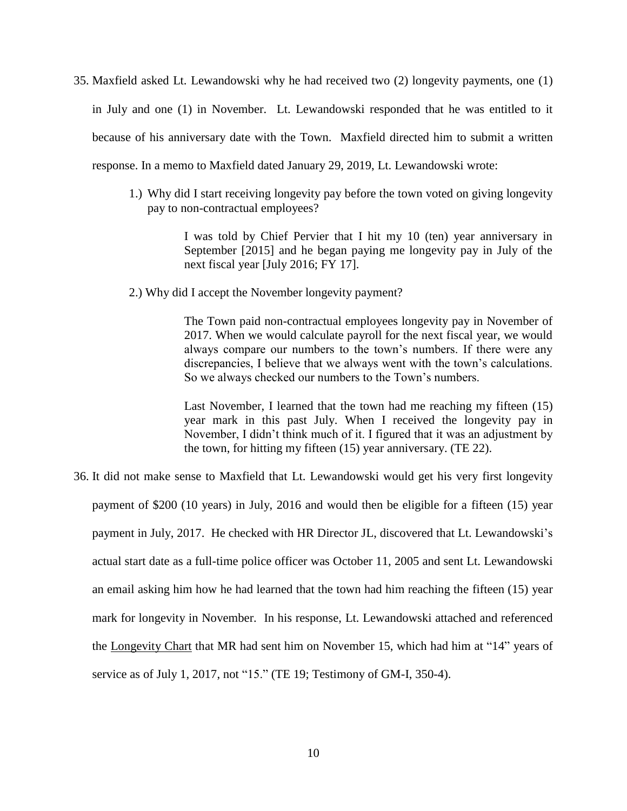35. Maxfield asked Lt. Lewandowski why he had received two (2) longevity payments, one (1) in July and one (1) in November. Lt. Lewandowski responded that he was entitled to it because of his anniversary date with the Town. Maxfield directed him to submit a written response. In a memo to Maxfield dated January 29, 2019, Lt. Lewandowski wrote:

> 1.) Why did I start receiving longevity pay before the town voted on giving longevity pay to non-contractual employees?

> > I was told by Chief Pervier that I hit my 10 (ten) year anniversary in September [2015] and he began paying me longevity pay in July of the next fiscal year [July 2016; FY 17].

2.) Why did I accept the November longevity payment?

The Town paid non-contractual employees longevity pay in November of 2017. When we would calculate payroll for the next fiscal year, we would always compare our numbers to the town's numbers. If there were any discrepancies, I believe that we always went with the town's calculations. So we always checked our numbers to the Town's numbers.

Last November, I learned that the town had me reaching my fifteen (15) year mark in this past July. When I received the longevity pay in November, I didn't think much of it. I figured that it was an adjustment by the town, for hitting my fifteen (15) year anniversary. (TE 22).

36. It did not make sense to Maxfield that Lt. Lewandowski would get his very first longevity payment of \$200 (10 years) in July, 2016 and would then be eligible for a fifteen (15) year payment in July, 2017. He checked with HR Director JL, discovered that Lt. Lewandowski's actual start date as a full-time police officer was October 11, 2005 and sent Lt. Lewandowski an email asking him how he had learned that the town had him reaching the fifteen (15) year mark for longevity in November. In his response, Lt. Lewandowski attached and referenced the Longevity Chart that MR had sent him on November 15, which had him at "14" years of service as of July 1, 2017, not "15." (TE 19; Testimony of GM-I, 350-4).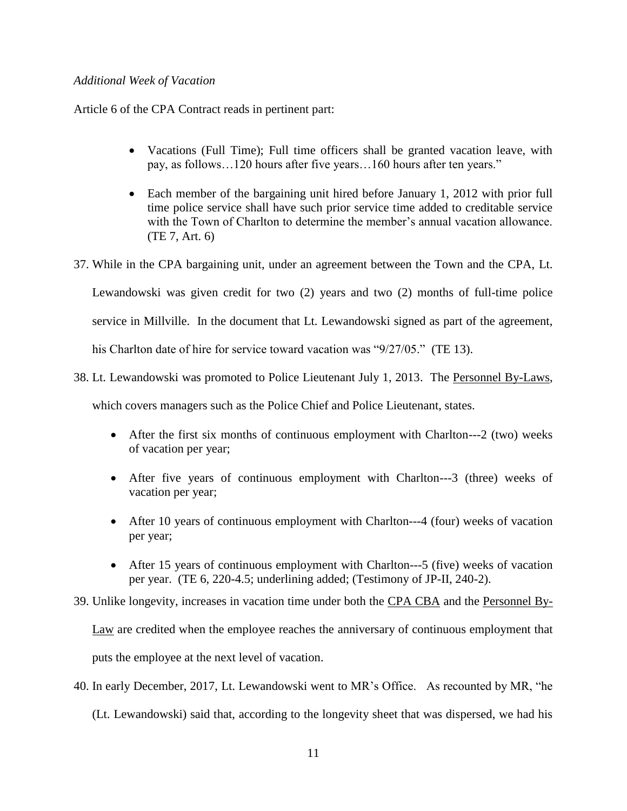# *Additional Week of Vacation*

Article 6 of the CPA Contract reads in pertinent part:

- Vacations (Full Time); Full time officers shall be granted vacation leave, with pay, as follows…120 hours after five years…160 hours after ten years."
- Each member of the bargaining unit hired before January 1, 2012 with prior full time police service shall have such prior service time added to creditable service with the Town of Charlton to determine the member's annual vacation allowance. (TE 7, Art. 6)
- 37. While in the CPA bargaining unit, under an agreement between the Town and the CPA, Lt.

Lewandowski was given credit for two (2) years and two (2) months of full-time police

service in Millville. In the document that Lt. Lewandowski signed as part of the agreement,

his Charlton date of hire for service toward vacation was "9/27/05." (TE 13).

38. Lt. Lewandowski was promoted to Police Lieutenant July 1, 2013. The Personnel By-Laws,

which covers managers such as the Police Chief and Police Lieutenant, states.

- After the first six months of continuous employment with Charlton---2 (two) weeks of vacation per year;
- After five years of continuous employment with Charlton---3 (three) weeks of vacation per year;
- After 10 years of continuous employment with Charlton---4 (four) weeks of vacation per year;
- After 15 years of continuous employment with Charlton---5 (five) weeks of vacation per year. (TE 6, 220-4.5; underlining added; (Testimony of JP-II, 240-2).

39. Unlike longevity, increases in vacation time under both the CPA CBA and the Personnel By-

Law are credited when the employee reaches the anniversary of continuous employment that puts the employee at the next level of vacation.

40. In early December, 2017, Lt. Lewandowski went to MR's Office. As recounted by MR, "he

(Lt. Lewandowski) said that, according to the longevity sheet that was dispersed, we had his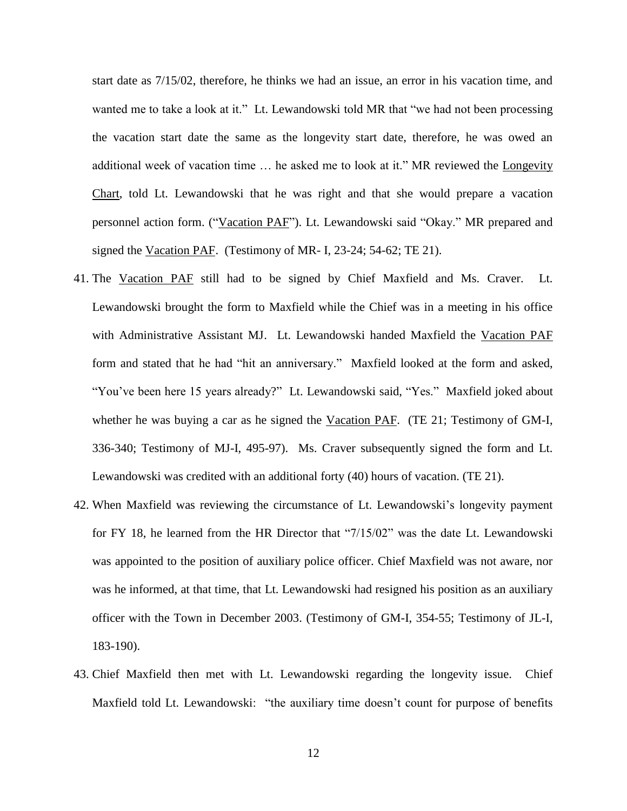start date as 7/15/02, therefore, he thinks we had an issue, an error in his vacation time, and wanted me to take a look at it." Lt. Lewandowski told MR that "we had not been processing the vacation start date the same as the longevity start date, therefore, he was owed an additional week of vacation time … he asked me to look at it." MR reviewed the Longevity Chart, told Lt. Lewandowski that he was right and that she would prepare a vacation personnel action form. ("Vacation PAF"). Lt. Lewandowski said "Okay." MR prepared and signed the Vacation PAF. (Testimony of MR- I, 23-24; 54-62; TE 21).

- 41. The Vacation PAF still had to be signed by Chief Maxfield and Ms. Craver. Lt. Lewandowski brought the form to Maxfield while the Chief was in a meeting in his office with Administrative Assistant MJ. Lt. Lewandowski handed Maxfield the Vacation PAF form and stated that he had "hit an anniversary." Maxfield looked at the form and asked, "You've been here 15 years already?" Lt. Lewandowski said, "Yes." Maxfield joked about whether he was buying a car as he signed the Vacation PAF. (TE 21; Testimony of GM-I, 336-340; Testimony of MJ-I, 495-97). Ms. Craver subsequently signed the form and Lt. Lewandowski was credited with an additional forty (40) hours of vacation. (TE 21).
- 42. When Maxfield was reviewing the circumstance of Lt. Lewandowski's longevity payment for FY 18, he learned from the HR Director that "7/15/02" was the date Lt. Lewandowski was appointed to the position of auxiliary police officer. Chief Maxfield was not aware, nor was he informed, at that time, that Lt. Lewandowski had resigned his position as an auxiliary officer with the Town in December 2003. (Testimony of GM-I, 354-55; Testimony of JL-I, 183-190).
- 43. Chief Maxfield then met with Lt. Lewandowski regarding the longevity issue. Chief Maxfield told Lt. Lewandowski: "the auxiliary time doesn't count for purpose of benefits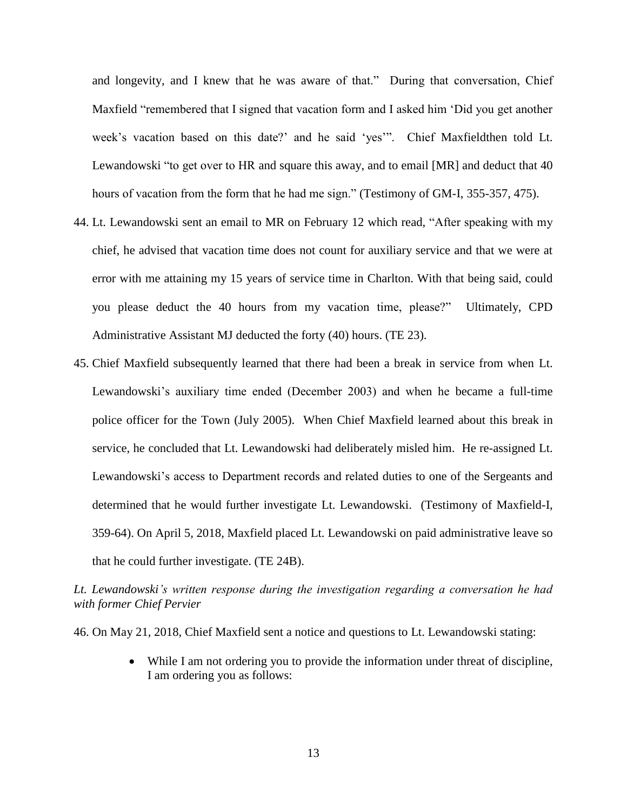and longevity, and I knew that he was aware of that." During that conversation, Chief Maxfield "remembered that I signed that vacation form and I asked him 'Did you get another week's vacation based on this date?' and he said 'yes'". Chief Maxfieldthen told Lt. Lewandowski "to get over to HR and square this away, and to email [MR] and deduct that 40 hours of vacation from the form that he had me sign." (Testimony of GM-I, 355-357, 475).

- 44. Lt. Lewandowski sent an email to MR on February 12 which read, "After speaking with my chief, he advised that vacation time does not count for auxiliary service and that we were at error with me attaining my 15 years of service time in Charlton. With that being said, could you please deduct the 40 hours from my vacation time, please?" Ultimately, CPD Administrative Assistant MJ deducted the forty (40) hours. (TE 23).
- 45. Chief Maxfield subsequently learned that there had been a break in service from when Lt. Lewandowski's auxiliary time ended (December 2003) and when he became a full-time police officer for the Town (July 2005). When Chief Maxfield learned about this break in service, he concluded that Lt. Lewandowski had deliberately misled him. He re-assigned Lt. Lewandowski's access to Department records and related duties to one of the Sergeants and determined that he would further investigate Lt. Lewandowski. (Testimony of Maxfield-I, 359-64). On April 5, 2018, Maxfield placed Lt. Lewandowski on paid administrative leave so that he could further investigate. (TE 24B).

*Lt. Lewandowski's written response during the investigation regarding a conversation he had with former Chief Pervier*

46. On May 21, 2018, Chief Maxfield sent a notice and questions to Lt. Lewandowski stating:

 While I am not ordering you to provide the information under threat of discipline, I am ordering you as follows: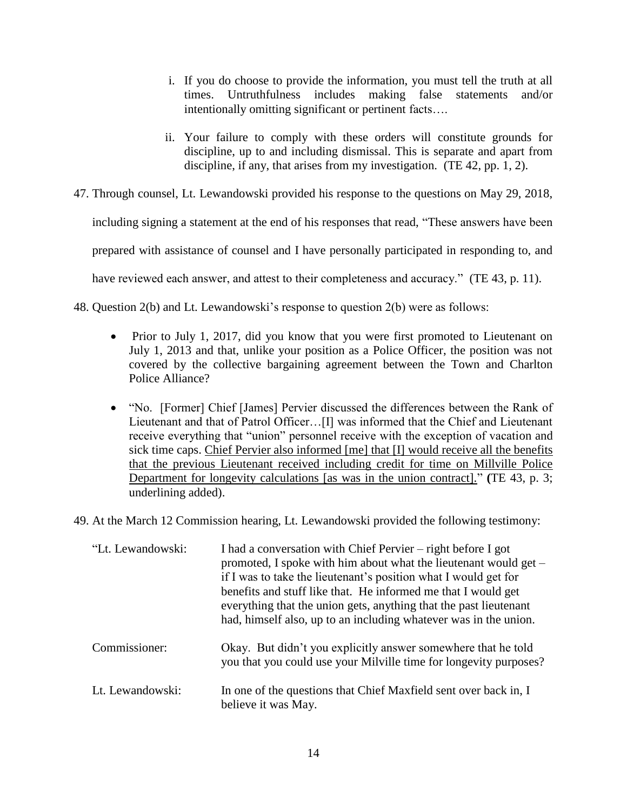- i. If you do choose to provide the information, you must tell the truth at all times. Untruthfulness includes making false statements and/or intentionally omitting significant or pertinent facts….
- ii. Your failure to comply with these orders will constitute grounds for discipline, up to and including dismissal. This is separate and apart from discipline, if any, that arises from my investigation. (TE 42, pp. 1, 2).
- 47. Through counsel, Lt. Lewandowski provided his response to the questions on May 29, 2018,

including signing a statement at the end of his responses that read, "These answers have been

prepared with assistance of counsel and I have personally participated in responding to, and

have reviewed each answer, and attest to their completeness and accuracy." (TE 43, p. 11).

48. Question 2(b) and Lt. Lewandowski's response to question 2(b) were as follows:

- Prior to July 1, 2017, did you know that you were first promoted to Lieutenant on July 1, 2013 and that, unlike your position as a Police Officer, the position was not covered by the collective bargaining agreement between the Town and Charlton Police Alliance?
- "No. [Former] Chief [James] Pervier discussed the differences between the Rank of Lieutenant and that of Patrol Officer…[I] was informed that the Chief and Lieutenant receive everything that "union" personnel receive with the exception of vacation and sick time caps. Chief Pervier also informed [me] that [I] would receive all the benefits that the previous Lieutenant received including credit for time on Millville Police Department for longevity calculations [as was in the union contract]." **(**TE 43, p. 3; underlining added).
- 49. At the March 12 Commission hearing, Lt. Lewandowski provided the following testimony:

| "Lt. Lewandowski: | I had a conversation with Chief Pervier – right before I got<br>promoted, I spoke with him about what the lieutenant would get –<br>if I was to take the lieutenant's position what I would get for<br>benefits and stuff like that. He informed me that I would get<br>everything that the union gets, anything that the past lieutenant<br>had, himself also, up to an including whatever was in the union. |
|-------------------|---------------------------------------------------------------------------------------------------------------------------------------------------------------------------------------------------------------------------------------------------------------------------------------------------------------------------------------------------------------------------------------------------------------|
| Commissioner:     | Okay. But didn't you explicitly answer somewhere that he told<br>you that you could use your Milville time for longevity purposes?                                                                                                                                                                                                                                                                            |
| Lt. Lewandowski:  | In one of the questions that Chief Maxfield sent over back in, I<br>believe it was May.                                                                                                                                                                                                                                                                                                                       |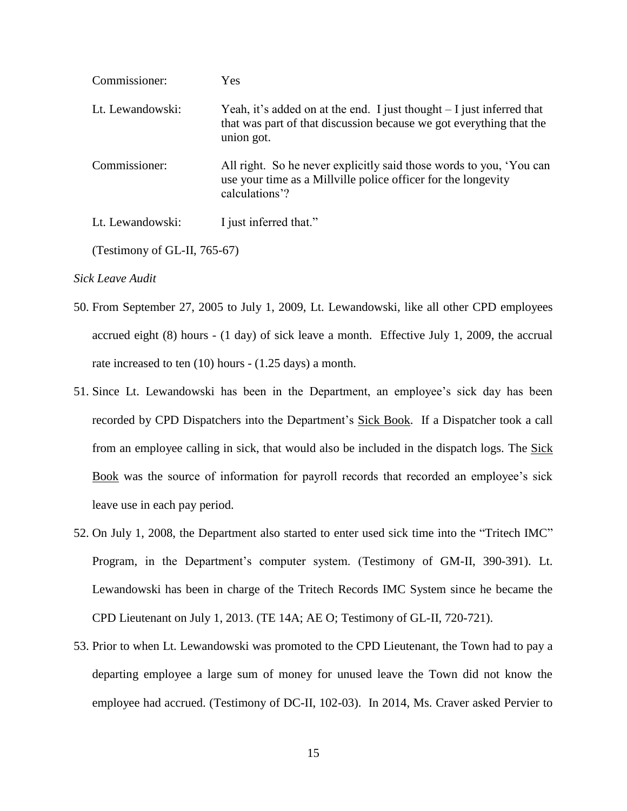| Commissioner:    | Yes                                                                                                                                                         |
|------------------|-------------------------------------------------------------------------------------------------------------------------------------------------------------|
| Lt. Lewandowski: | Yeah, it's added on at the end. I just thought $-I$ just inferred that<br>that was part of that discussion because we got everything that the<br>union got. |
| Commissioner:    | All right. So he never explicitly said those words to you, 'You can<br>use your time as a Millyille police officer for the longevity<br>calculations'?      |
| Lt. Lewandowski: | I just inferred that."                                                                                                                                      |

(Testimony of GL-II, 765-67)

# *Sick Leave Audit*

- 50. From September 27, 2005 to July 1, 2009, Lt. Lewandowski, like all other CPD employees accrued eight (8) hours - (1 day) of sick leave a month. Effective July 1, 2009, the accrual rate increased to ten (10) hours - (1.25 days) a month.
- 51. Since Lt. Lewandowski has been in the Department, an employee's sick day has been recorded by CPD Dispatchers into the Department's Sick Book. If a Dispatcher took a call from an employee calling in sick, that would also be included in the dispatch logs. The Sick Book was the source of information for payroll records that recorded an employee's sick leave use in each pay period.
- 52. On July 1, 2008, the Department also started to enter used sick time into the "Tritech IMC" Program, in the Department's computer system. (Testimony of GM-II, 390-391). Lt. Lewandowski has been in charge of the Tritech Records IMC System since he became the CPD Lieutenant on July 1, 2013. (TE 14A; AE O; Testimony of GL-II, 720-721).
- 53. Prior to when Lt. Lewandowski was promoted to the CPD Lieutenant, the Town had to pay a departing employee a large sum of money for unused leave the Town did not know the employee had accrued. (Testimony of DC-II, 102-03). In 2014, Ms. Craver asked Pervier to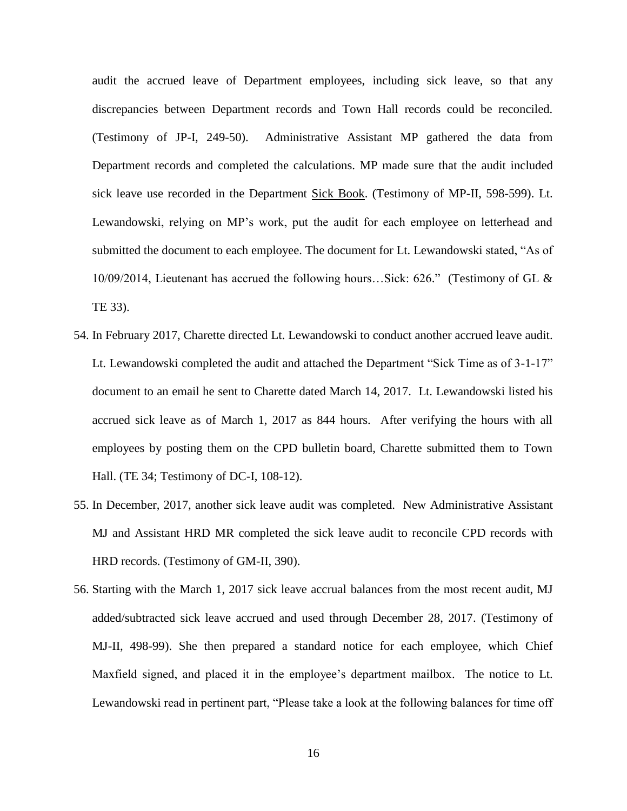audit the accrued leave of Department employees, including sick leave, so that any discrepancies between Department records and Town Hall records could be reconciled. (Testimony of JP-I, 249-50).Administrative Assistant MP gathered the data from Department records and completed the calculations. MP made sure that the audit included sick leave use recorded in the Department Sick Book. (Testimony of MP-II, 598-599). Lt. Lewandowski, relying on MP's work, put the audit for each employee on letterhead and submitted the document to each employee. The document for Lt. Lewandowski stated, "As of 10/09/2014, Lieutenant has accrued the following hours…Sick: 626." (Testimony of GL & TE 33).

- 54. In February 2017, Charette directed Lt. Lewandowski to conduct another accrued leave audit. Lt. Lewandowski completed the audit and attached the Department "Sick Time as of 3-1-17" document to an email he sent to Charette dated March 14, 2017. Lt. Lewandowski listed his accrued sick leave as of March 1, 2017 as 844 hours. After verifying the hours with all employees by posting them on the CPD bulletin board, Charette submitted them to Town Hall. (TE 34; Testimony of DC-I, 108-12).
- 55. In December, 2017, another sick leave audit was completed. New Administrative Assistant MJ and Assistant HRD MR completed the sick leave audit to reconcile CPD records with HRD records. (Testimony of GM-II, 390).
- 56. Starting with the March 1, 2017 sick leave accrual balances from the most recent audit, MJ added/subtracted sick leave accrued and used through December 28, 2017. (Testimony of MJ-II, 498-99). She then prepared a standard notice for each employee, which Chief Maxfield signed, and placed it in the employee's department mailbox. The notice to Lt. Lewandowski read in pertinent part, "Please take a look at the following balances for time off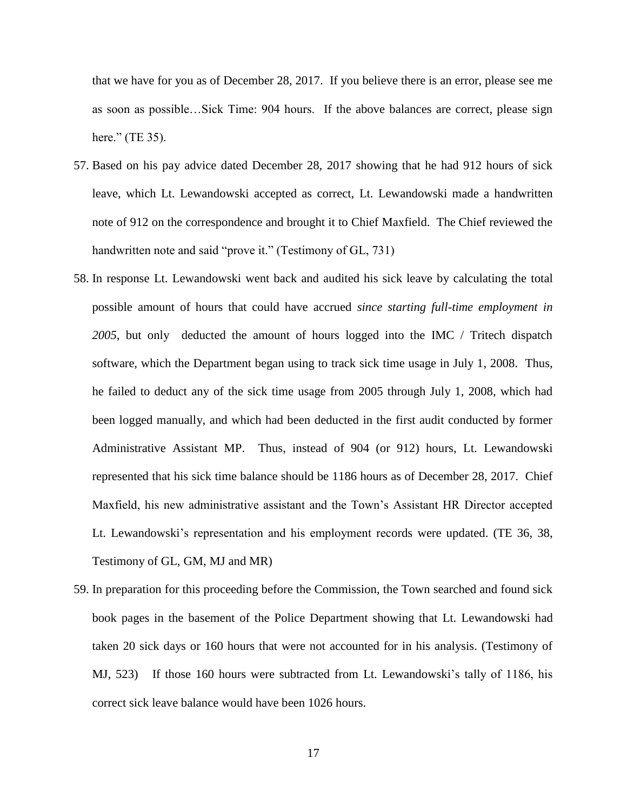that we have for you as of December 28, 2017. If you believe there is an error, please see me as soon as possible…Sick Time: 904 hours. If the above balances are correct, please sign here." (TE 35).

- 57. Based on his pay advice dated December 28, 2017 showing that he had 912 hours of sick leave, which Lt. Lewandowski accepted as correct, Lt. Lewandowski made a handwritten note of 912 on the correspondence and brought it to Chief Maxfield. The Chief reviewed the handwritten note and said "prove it." (Testimony of GL, 731)
- 58. In response Lt. Lewandowski went back and audited his sick leave by calculating the total possible amount of hours that could have accrued *since starting full-time employment in 2005*, but only deducted the amount of hours logged into the IMC / Tritech dispatch software, which the Department began using to track sick time usage in July 1, 2008. Thus, he failed to deduct any of the sick time usage from 2005 through July 1, 2008, which had been logged manually, and which had been deducted in the first audit conducted by former Administrative Assistant MP. Thus, instead of 904 (or 912) hours, Lt. Lewandowski represented that his sick time balance should be 1186 hours as of December 28, 2017. Chief Maxfield, his new administrative assistant and the Town's Assistant HR Director accepted Lt. Lewandowski's representation and his employment records were updated. (TE 36, 38, Testimony of GL, GM, MJ and MR)
- 59. In preparation for this proceeding before the Commission, the Town searched and found sick book pages in the basement of the Police Department showing that Lt. Lewandowski had taken 20 sick days or 160 hours that were not accounted for in his analysis. (Testimony of MJ, 523) If those 160 hours were subtracted from Lt. Lewandowski's tally of 1186, his correct sick leave balance would have been 1026 hours.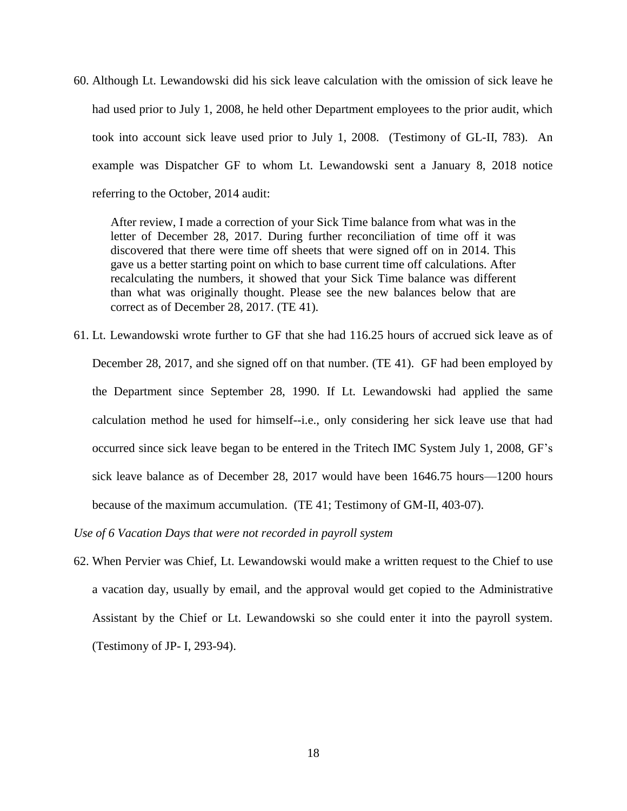60. Although Lt. Lewandowski did his sick leave calculation with the omission of sick leave he had used prior to July 1, 2008, he held other Department employees to the prior audit, which took into account sick leave used prior to July 1, 2008. (Testimony of GL-II, 783). An example was Dispatcher GF to whom Lt. Lewandowski sent a January 8, 2018 notice referring to the October, 2014 audit:

After review, I made a correction of your Sick Time balance from what was in the letter of December 28, 2017. During further reconciliation of time off it was discovered that there were time off sheets that were signed off on in 2014. This gave us a better starting point on which to base current time off calculations. After recalculating the numbers, it showed that your Sick Time balance was different than what was originally thought. Please see the new balances below that are correct as of December 28, 2017. (TE 41).

61. Lt. Lewandowski wrote further to GF that she had 116.25 hours of accrued sick leave as of December 28, 2017, and she signed off on that number. (TE 41). GF had been employed by the Department since September 28, 1990. If Lt. Lewandowski had applied the same calculation method he used for himself--i.e., only considering her sick leave use that had occurred since sick leave began to be entered in the Tritech IMC System July 1, 2008, GF's sick leave balance as of December 28, 2017 would have been 1646.75 hours—1200 hours because of the maximum accumulation. (TE 41; Testimony of GM-II, 403-07).

*Use of 6 Vacation Days that were not recorded in payroll system* 

62. When Pervier was Chief, Lt. Lewandowski would make a written request to the Chief to use a vacation day, usually by email, and the approval would get copied to the Administrative Assistant by the Chief or Lt. Lewandowski so she could enter it into the payroll system. (Testimony of JP- I, 293-94).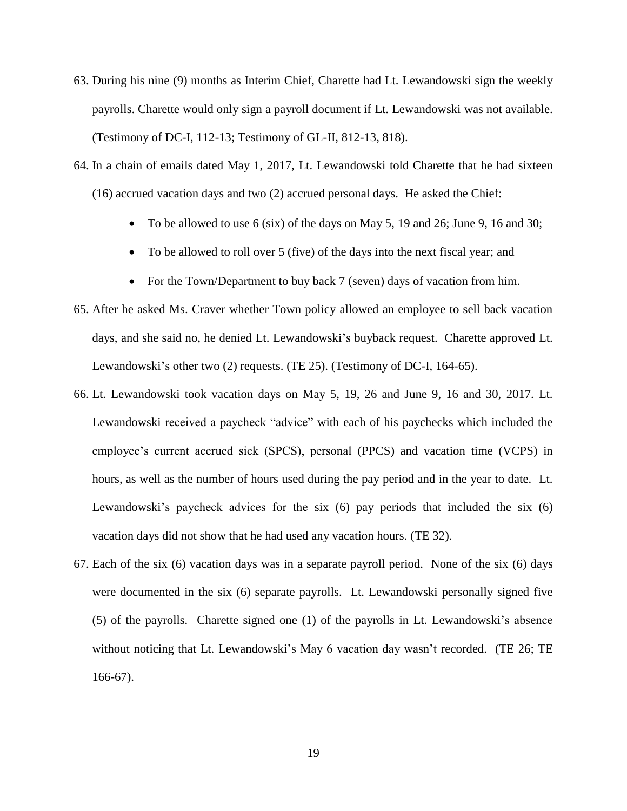- 63. During his nine (9) months as Interim Chief, Charette had Lt. Lewandowski sign the weekly payrolls. Charette would only sign a payroll document if Lt. Lewandowski was not available. (Testimony of DC-I, 112-13; Testimony of GL-II, 812-13, 818).
- 64. In a chain of emails dated May 1, 2017, Lt. Lewandowski told Charette that he had sixteen (16) accrued vacation days and two (2) accrued personal days. He asked the Chief:
	- To be allowed to use 6 (six) of the days on May 5, 19 and 26; June 9, 16 and 30;
	- To be allowed to roll over 5 (five) of the days into the next fiscal year; and
	- For the Town/Department to buy back 7 (seven) days of vacation from him.
- 65. After he asked Ms. Craver whether Town policy allowed an employee to sell back vacation days, and she said no, he denied Lt. Lewandowski's buyback request. Charette approved Lt. Lewandowski's other two (2) requests. (TE 25). (Testimony of DC-I, 164-65).
- 66. Lt. Lewandowski took vacation days on May 5, 19, 26 and June 9, 16 and 30, 2017. Lt. Lewandowski received a paycheck "advice" with each of his paychecks which included the employee's current accrued sick (SPCS), personal (PPCS) and vacation time (VCPS) in hours, as well as the number of hours used during the pay period and in the year to date. Lt. Lewandowski's paycheck advices for the six (6) pay periods that included the six (6) vacation days did not show that he had used any vacation hours. (TE 32).
- 67. Each of the six (6) vacation days was in a separate payroll period. None of the six (6) days were documented in the six (6) separate payrolls. Lt. Lewandowski personally signed five (5) of the payrolls. Charette signed one (1) of the payrolls in Lt. Lewandowski's absence without noticing that Lt. Lewandowski's May 6 vacation day wasn't recorded. (TE 26; TE 166-67).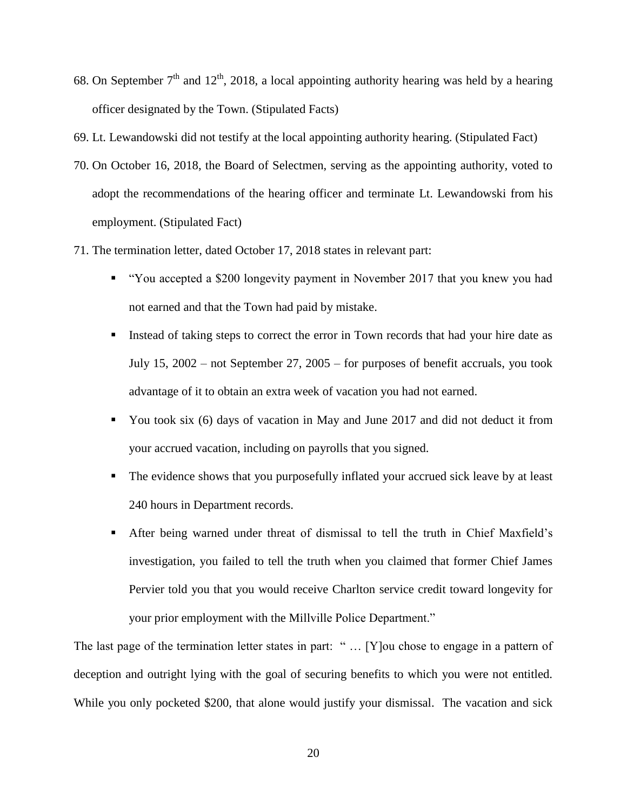- 68. On September  $7<sup>th</sup>$  and  $12<sup>th</sup>$ , 2018, a local appointing authority hearing was held by a hearing officer designated by the Town. (Stipulated Facts)
- 69. Lt. Lewandowski did not testify at the local appointing authority hearing. (Stipulated Fact)
- 70. On October 16, 2018, the Board of Selectmen, serving as the appointing authority, voted to adopt the recommendations of the hearing officer and terminate Lt. Lewandowski from his employment. (Stipulated Fact)
- 71. The termination letter, dated October 17, 2018 states in relevant part:
	- "You accepted a \$200 longevity payment in November 2017 that you knew you had not earned and that the Town had paid by mistake.
	- Instead of taking steps to correct the error in Town records that had your hire date as July 15, 2002 – not September 27, 2005 – for purposes of benefit accruals, you took advantage of it to obtain an extra week of vacation you had not earned.
	- You took six (6) days of vacation in May and June 2017 and did not deduct it from your accrued vacation, including on payrolls that you signed.
	- The evidence shows that you purposefully inflated your accrued sick leave by at least 240 hours in Department records.
	- After being warned under threat of dismissal to tell the truth in Chief Maxfield's investigation, you failed to tell the truth when you claimed that former Chief James Pervier told you that you would receive Charlton service credit toward longevity for your prior employment with the Millville Police Department."

The last page of the termination letter states in part: "... [Y] ou chose to engage in a pattern of deception and outright lying with the goal of securing benefits to which you were not entitled. While you only pocketed \$200, that alone would justify your dismissal. The vacation and sick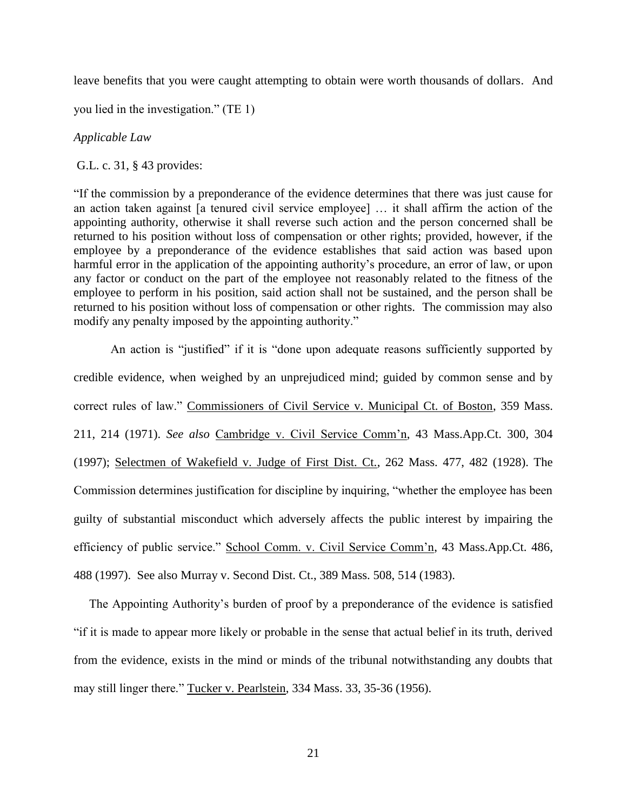leave benefits that you were caught attempting to obtain were worth thousands of dollars. And

you lied in the investigation." (TE 1)

*Applicable Law*

G.L. c. 31, § 43 provides:

"If the commission by a preponderance of the evidence determines that there was just cause for an action taken against [a tenured civil service employee] … it shall affirm the action of the appointing authority, otherwise it shall reverse such action and the person concerned shall be returned to his position without loss of compensation or other rights; provided, however, if the employee by a preponderance of the evidence establishes that said action was based upon harmful error in the application of the appointing authority's procedure, an error of law, or upon any factor or conduct on the part of the employee not reasonably related to the fitness of the employee to perform in his position, said action shall not be sustained, and the person shall be returned to his position without loss of compensation or other rights. The commission may also modify any penalty imposed by the appointing authority."

An action is "justified" if it is "done upon adequate reasons sufficiently supported by credible evidence, when weighed by an unprejudiced mind; guided by common sense and by correct rules of law." Commissioners of Civil Service v. Municipal Ct. of Boston, 359 Mass. 211, 214 (1971). *See also* Cambridge v. Civil Service Comm'n, 43 Mass.App.Ct. 300, 304 (1997); Selectmen of Wakefield v. Judge of First Dist. Ct., 262 Mass. 477, 482 (1928). The Commission determines justification for discipline by inquiring, "whether the employee has been guilty of substantial misconduct which adversely affects the public interest by impairing the efficiency of public service." School Comm. v. Civil Service Comm'n, 43 Mass.App.Ct. 486, 488 (1997). See also Murray v. Second Dist. Ct., 389 Mass. 508, 514 (1983).

 The Appointing Authority's burden of proof by a preponderance of the evidence is satisfied "if it is made to appear more likely or probable in the sense that actual belief in its truth, derived from the evidence, exists in the mind or minds of the tribunal notwithstanding any doubts that may still linger there." Tucker v. Pearlstein, 334 Mass. 33, 35-36 (1956).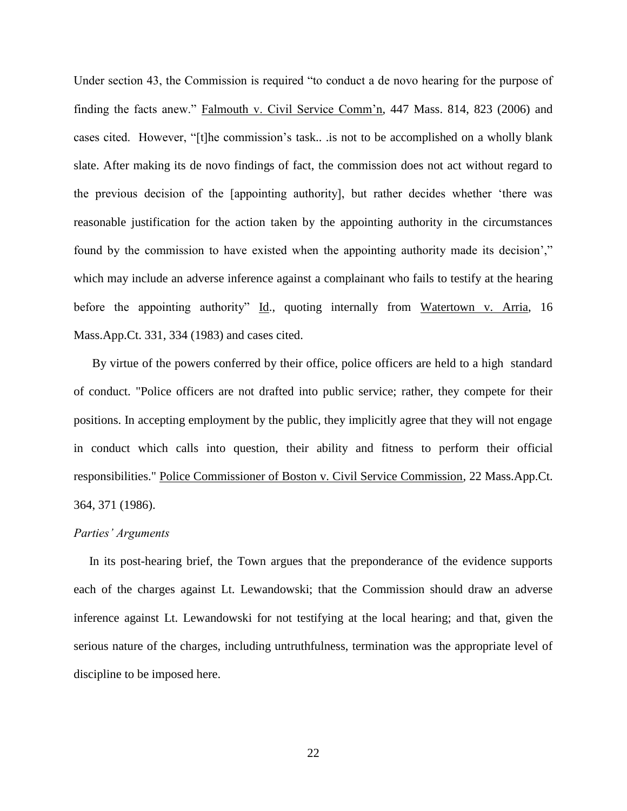Under section 43, the Commission is required "to conduct a de novo hearing for the purpose of finding the facts anew." Falmouth v. Civil Service Comm'n, 447 Mass. 814, 823 (2006) and cases cited. However, "[t]he commission's task.. .is not to be accomplished on a wholly blank slate. After making its de novo findings of fact, the commission does not act without regard to the previous decision of the [appointing authority], but rather decides whether 'there was reasonable justification for the action taken by the appointing authority in the circumstances found by the commission to have existed when the appointing authority made its decision'," which may include an adverse inference against a complainant who fails to testify at the hearing before the appointing authority" Id., quoting internally from Watertown v. Arria, 16 Mass.App.Ct. 331, 334 (1983) and cases cited.

 By virtue of the powers conferred by their office, police officers are held to a high standard of conduct. "Police officers are not drafted into public service; rather, they compete for their positions. In accepting employment by the public, they implicitly agree that they will not engage in conduct which calls into question, their ability and fitness to perform their official responsibilities." Police Commissioner of Boston v. Civil Service Commission, 22 Mass.App.Ct. 364, 371 (1986).

#### *Parties' Arguments*

 In its post-hearing brief, the Town argues that the preponderance of the evidence supports each of the charges against Lt. Lewandowski; that the Commission should draw an adverse inference against Lt. Lewandowski for not testifying at the local hearing; and that, given the serious nature of the charges, including untruthfulness, termination was the appropriate level of discipline to be imposed here.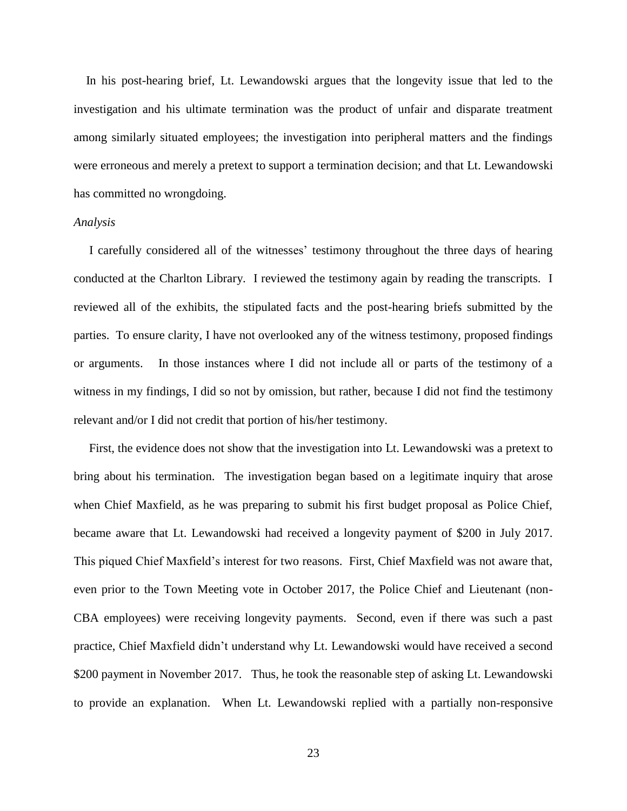In his post-hearing brief, Lt. Lewandowski argues that the longevity issue that led to the investigation and his ultimate termination was the product of unfair and disparate treatment among similarly situated employees; the investigation into peripheral matters and the findings were erroneous and merely a pretext to support a termination decision; and that Lt. Lewandowski has committed no wrongdoing.

## *Analysis*

 I carefully considered all of the witnesses' testimony throughout the three days of hearing conducted at the Charlton Library. I reviewed the testimony again by reading the transcripts. I reviewed all of the exhibits, the stipulated facts and the post-hearing briefs submitted by the parties. To ensure clarity, I have not overlooked any of the witness testimony, proposed findings or arguments. In those instances where I did not include all or parts of the testimony of a witness in my findings, I did so not by omission, but rather, because I did not find the testimony relevant and/or I did not credit that portion of his/her testimony.

 First, the evidence does not show that the investigation into Lt. Lewandowski was a pretext to bring about his termination. The investigation began based on a legitimate inquiry that arose when Chief Maxfield, as he was preparing to submit his first budget proposal as Police Chief, became aware that Lt. Lewandowski had received a longevity payment of \$200 in July 2017. This piqued Chief Maxfield's interest for two reasons. First, Chief Maxfield was not aware that, even prior to the Town Meeting vote in October 2017, the Police Chief and Lieutenant (non-CBA employees) were receiving longevity payments. Second, even if there was such a past practice, Chief Maxfield didn't understand why Lt. Lewandowski would have received a second \$200 payment in November 2017. Thus, he took the reasonable step of asking Lt. Lewandowski to provide an explanation. When Lt. Lewandowski replied with a partially non-responsive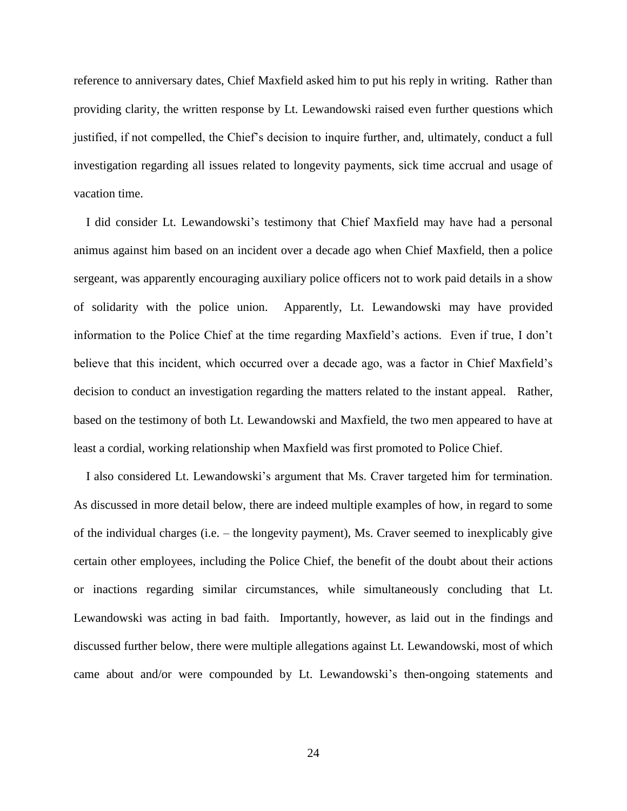reference to anniversary dates, Chief Maxfield asked him to put his reply in writing. Rather than providing clarity, the written response by Lt. Lewandowski raised even further questions which justified, if not compelled, the Chief's decision to inquire further, and, ultimately, conduct a full investigation regarding all issues related to longevity payments, sick time accrual and usage of vacation time.

 I did consider Lt. Lewandowski's testimony that Chief Maxfield may have had a personal animus against him based on an incident over a decade ago when Chief Maxfield, then a police sergeant, was apparently encouraging auxiliary police officers not to work paid details in a show of solidarity with the police union. Apparently, Lt. Lewandowski may have provided information to the Police Chief at the time regarding Maxfield's actions. Even if true, I don't believe that this incident, which occurred over a decade ago, was a factor in Chief Maxfield's decision to conduct an investigation regarding the matters related to the instant appeal. Rather, based on the testimony of both Lt. Lewandowski and Maxfield, the two men appeared to have at least a cordial, working relationship when Maxfield was first promoted to Police Chief.

 I also considered Lt. Lewandowski's argument that Ms. Craver targeted him for termination. As discussed in more detail below, there are indeed multiple examples of how, in regard to some of the individual charges (i.e. – the longevity payment), Ms. Craver seemed to inexplicably give certain other employees, including the Police Chief, the benefit of the doubt about their actions or inactions regarding similar circumstances, while simultaneously concluding that Lt. Lewandowski was acting in bad faith. Importantly, however, as laid out in the findings and discussed further below, there were multiple allegations against Lt. Lewandowski, most of which came about and/or were compounded by Lt. Lewandowski's then-ongoing statements and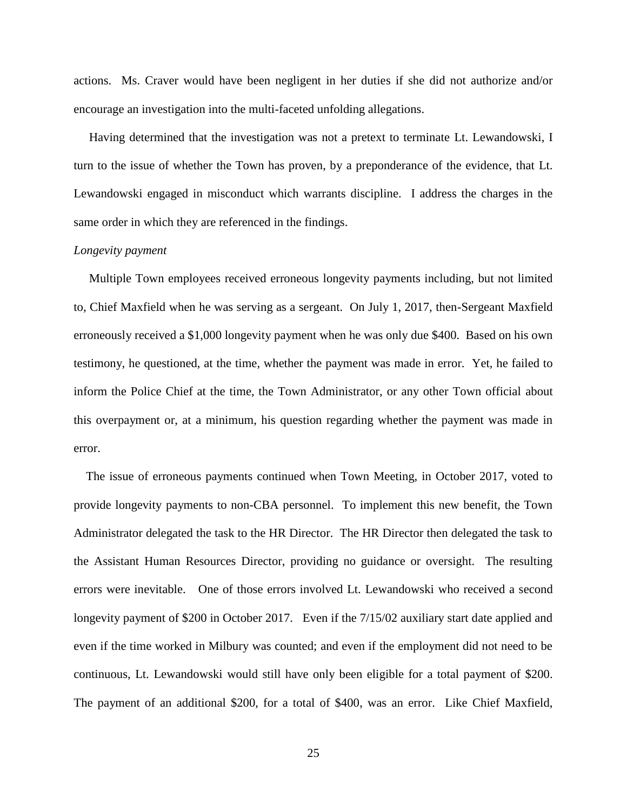actions. Ms. Craver would have been negligent in her duties if she did not authorize and/or encourage an investigation into the multi-faceted unfolding allegations.

 Having determined that the investigation was not a pretext to terminate Lt. Lewandowski, I turn to the issue of whether the Town has proven, by a preponderance of the evidence, that Lt. Lewandowski engaged in misconduct which warrants discipline. I address the charges in the same order in which they are referenced in the findings.

## *Longevity payment*

 Multiple Town employees received erroneous longevity payments including, but not limited to, Chief Maxfield when he was serving as a sergeant. On July 1, 2017, then-Sergeant Maxfield erroneously received a \$1,000 longevity payment when he was only due \$400. Based on his own testimony, he questioned, at the time, whether the payment was made in error. Yet, he failed to inform the Police Chief at the time, the Town Administrator, or any other Town official about this overpayment or, at a minimum, his question regarding whether the payment was made in error.

 The issue of erroneous payments continued when Town Meeting, in October 2017, voted to provide longevity payments to non-CBA personnel. To implement this new benefit, the Town Administrator delegated the task to the HR Director. The HR Director then delegated the task to the Assistant Human Resources Director, providing no guidance or oversight. The resulting errors were inevitable. One of those errors involved Lt. Lewandowski who received a second longevity payment of \$200 in October 2017. Even if the  $7/15/02$  auxiliary start date applied and even if the time worked in Milbury was counted; and even if the employment did not need to be continuous, Lt. Lewandowski would still have only been eligible for a total payment of \$200. The payment of an additional \$200, for a total of \$400, was an error. Like Chief Maxfield,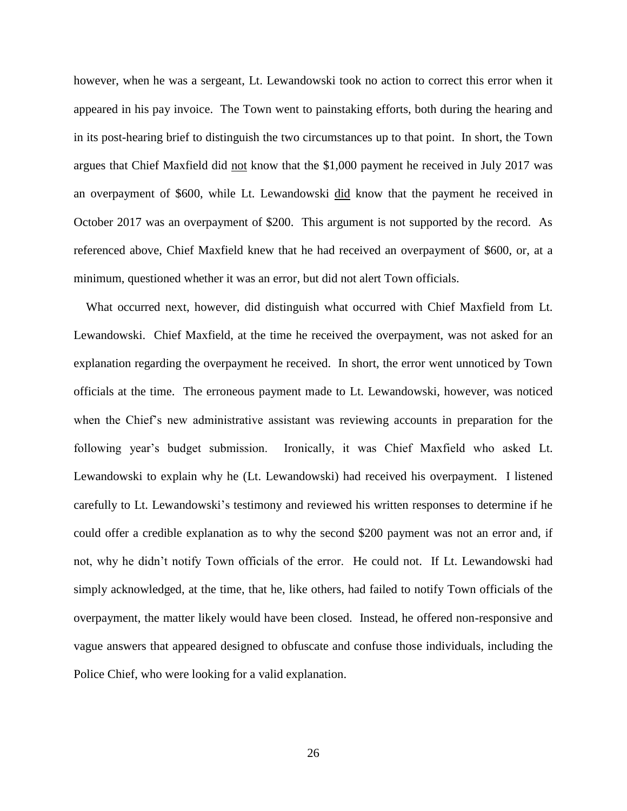however, when he was a sergeant, Lt. Lewandowski took no action to correct this error when it appeared in his pay invoice. The Town went to painstaking efforts, both during the hearing and in its post-hearing brief to distinguish the two circumstances up to that point. In short, the Town argues that Chief Maxfield did not know that the \$1,000 payment he received in July 2017 was an overpayment of \$600, while Lt. Lewandowski did know that the payment he received in October 2017 was an overpayment of \$200. This argument is not supported by the record. As referenced above, Chief Maxfield knew that he had received an overpayment of \$600, or, at a minimum, questioned whether it was an error, but did not alert Town officials.

 What occurred next, however, did distinguish what occurred with Chief Maxfield from Lt. Lewandowski. Chief Maxfield, at the time he received the overpayment, was not asked for an explanation regarding the overpayment he received. In short, the error went unnoticed by Town officials at the time. The erroneous payment made to Lt. Lewandowski, however, was noticed when the Chief's new administrative assistant was reviewing accounts in preparation for the following year's budget submission. Ironically, it was Chief Maxfield who asked Lt. Lewandowski to explain why he (Lt. Lewandowski) had received his overpayment. I listened carefully to Lt. Lewandowski's testimony and reviewed his written responses to determine if he could offer a credible explanation as to why the second \$200 payment was not an error and, if not, why he didn't notify Town officials of the error. He could not. If Lt. Lewandowski had simply acknowledged, at the time, that he, like others, had failed to notify Town officials of the overpayment, the matter likely would have been closed. Instead, he offered non-responsive and vague answers that appeared designed to obfuscate and confuse those individuals, including the Police Chief, who were looking for a valid explanation.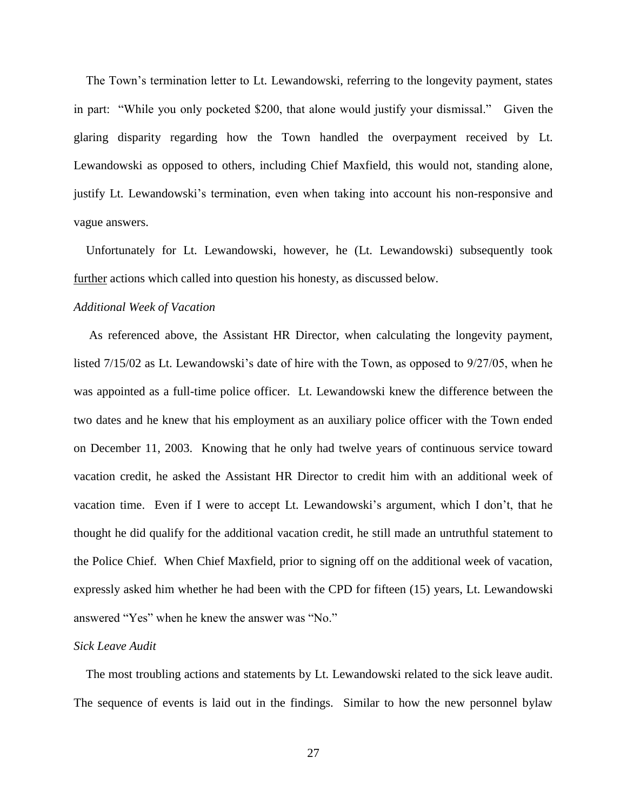The Town's termination letter to Lt. Lewandowski, referring to the longevity payment, states in part: "While you only pocketed \$200, that alone would justify your dismissal." Given the glaring disparity regarding how the Town handled the overpayment received by Lt. Lewandowski as opposed to others, including Chief Maxfield, this would not, standing alone, justify Lt. Lewandowski's termination, even when taking into account his non-responsive and vague answers.

 Unfortunately for Lt. Lewandowski, however, he (Lt. Lewandowski) subsequently took further actions which called into question his honesty, as discussed below.

## *Additional Week of Vacation*

 As referenced above, the Assistant HR Director, when calculating the longevity payment, listed 7/15/02 as Lt. Lewandowski's date of hire with the Town, as opposed to 9/27/05, when he was appointed as a full-time police officer. Lt. Lewandowski knew the difference between the two dates and he knew that his employment as an auxiliary police officer with the Town ended on December 11, 2003. Knowing that he only had twelve years of continuous service toward vacation credit, he asked the Assistant HR Director to credit him with an additional week of vacation time. Even if I were to accept Lt. Lewandowski's argument, which I don't, that he thought he did qualify for the additional vacation credit, he still made an untruthful statement to the Police Chief. When Chief Maxfield, prior to signing off on the additional week of vacation, expressly asked him whether he had been with the CPD for fifteen (15) years, Lt. Lewandowski answered "Yes" when he knew the answer was "No."

### *Sick Leave Audit*

 The most troubling actions and statements by Lt. Lewandowski related to the sick leave audit. The sequence of events is laid out in the findings. Similar to how the new personnel bylaw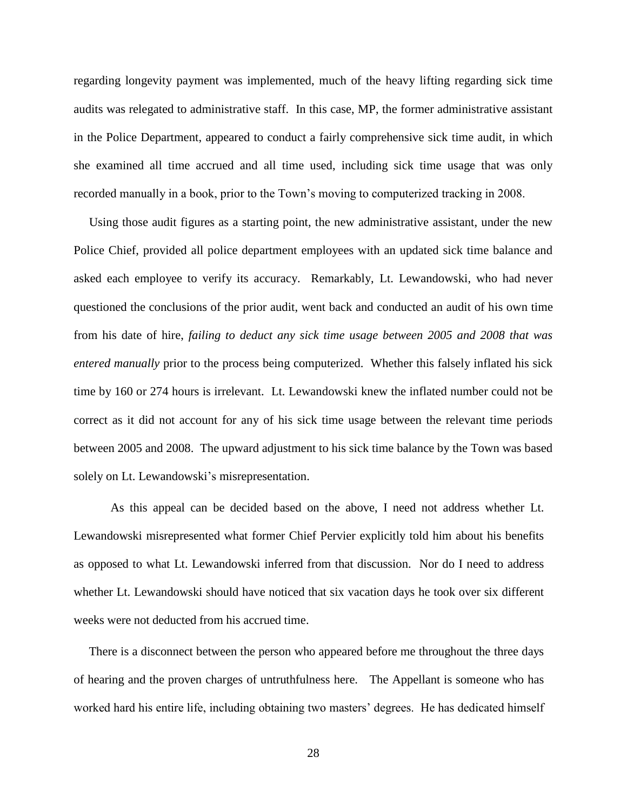regarding longevity payment was implemented, much of the heavy lifting regarding sick time audits was relegated to administrative staff. In this case, MP, the former administrative assistant in the Police Department, appeared to conduct a fairly comprehensive sick time audit, in which she examined all time accrued and all time used, including sick time usage that was only recorded manually in a book, prior to the Town's moving to computerized tracking in 2008.

 Using those audit figures as a starting point, the new administrative assistant, under the new Police Chief, provided all police department employees with an updated sick time balance and asked each employee to verify its accuracy. Remarkably, Lt. Lewandowski, who had never questioned the conclusions of the prior audit, went back and conducted an audit of his own time from his date of hire, *failing to deduct any sick time usage between 2005 and 2008 that was entered manually* prior to the process being computerized. Whether this falsely inflated his sick time by 160 or 274 hours is irrelevant. Lt. Lewandowski knew the inflated number could not be correct as it did not account for any of his sick time usage between the relevant time periods between 2005 and 2008. The upward adjustment to his sick time balance by the Town was based solely on Lt. Lewandowski's misrepresentation.

As this appeal can be decided based on the above, I need not address whether Lt. Lewandowski misrepresented what former Chief Pervier explicitly told him about his benefits as opposed to what Lt. Lewandowski inferred from that discussion. Nor do I need to address whether Lt. Lewandowski should have noticed that six vacation days he took over six different weeks were not deducted from his accrued time.

 There is a disconnect between the person who appeared before me throughout the three days of hearing and the proven charges of untruthfulness here. The Appellant is someone who has worked hard his entire life, including obtaining two masters' degrees. He has dedicated himself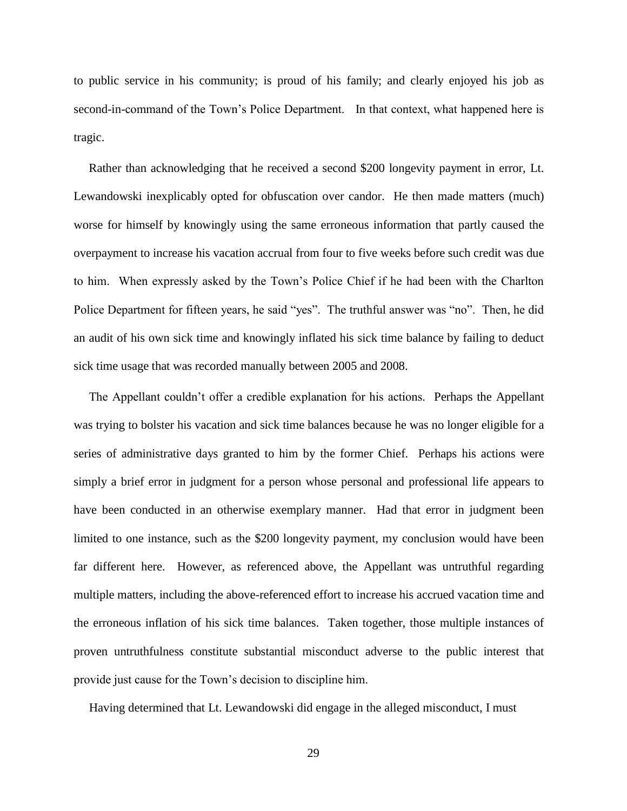to public service in his community; is proud of his family; and clearly enjoyed his job as second-in-command of the Town's Police Department. In that context, what happened here is tragic.

 Rather than acknowledging that he received a second \$200 longevity payment in error, Lt. Lewandowski inexplicably opted for obfuscation over candor. He then made matters (much) worse for himself by knowingly using the same erroneous information that partly caused the overpayment to increase his vacation accrual from four to five weeks before such credit was due to him. When expressly asked by the Town's Police Chief if he had been with the Charlton Police Department for fifteen years, he said "yes". The truthful answer was "no". Then, he did an audit of his own sick time and knowingly inflated his sick time balance by failing to deduct sick time usage that was recorded manually between 2005 and 2008.

 The Appellant couldn't offer a credible explanation for his actions. Perhaps the Appellant was trying to bolster his vacation and sick time balances because he was no longer eligible for a series of administrative days granted to him by the former Chief. Perhaps his actions were simply a brief error in judgment for a person whose personal and professional life appears to have been conducted in an otherwise exemplary manner. Had that error in judgment been limited to one instance, such as the \$200 longevity payment, my conclusion would have been far different here. However, as referenced above, the Appellant was untruthful regarding multiple matters, including the above-referenced effort to increase his accrued vacation time and the erroneous inflation of his sick time balances. Taken together, those multiple instances of proven untruthfulness constitute substantial misconduct adverse to the public interest that provide just cause for the Town's decision to discipline him.

Having determined that Lt. Lewandowski did engage in the alleged misconduct, I must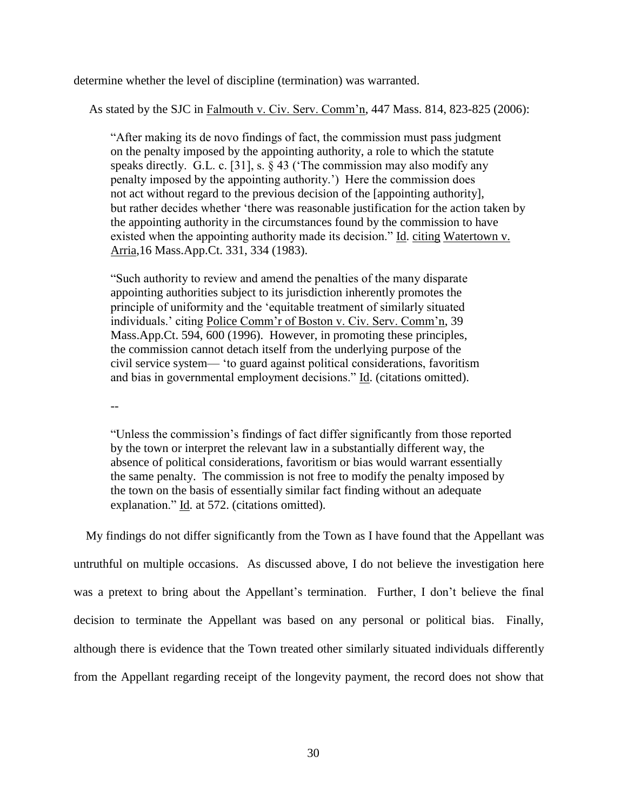determine whether the level of discipline (termination) was warranted.

As stated by the SJC in Falmouth v. Civ. Serv. Comm'n, 447 Mass. 814, 823-825 (2006):

 "After making its de novo findings of fact, the commission must pass judgment on the penalty imposed by the appointing authority, a role to which the statute speaks directly. G.L. c. [31], s. § 43 ('The commission may also modify any penalty imposed by the appointing authority.') Here the commission does not act without regard to the previous decision of the [appointing authority], but rather decides whether 'there was reasonable justification for the action taken by the appointing authority in the circumstances found by the commission to have existed when the appointing authority made its decision." Id. citing Watertown v. Arria,16 Mass.App.Ct. 331, 334 (1983).

"Such authority to review and amend the penalties of the many disparate appointing authorities subject to its jurisdiction inherently promotes the principle of uniformity and the 'equitable treatment of similarly situated individuals.' citing Police Comm'r of Boston v. Civ. Serv. Comm'n, 39 Mass.App.Ct. 594, 600 (1996). However, in promoting these principles, the commission cannot detach itself from the underlying purpose of the civil service system— 'to guard against political considerations, favoritism and bias in governmental employment decisions." Id. (citations omitted).

--

"Unless the commission's findings of fact differ significantly from those reported by the town or interpret the relevant law in a substantially different way, the absence of political considerations, favoritism or bias would warrant essentially the same penalty. The commission is not free to modify the penalty imposed by the town on the basis of essentially similar fact finding without an adequate explanation." Id. at 572. (citations omitted).

 My findings do not differ significantly from the Town as I have found that the Appellant was untruthful on multiple occasions. As discussed above, I do not believe the investigation here was a pretext to bring about the Appellant's termination. Further, I don't believe the final decision to terminate the Appellant was based on any personal or political bias. Finally, although there is evidence that the Town treated other similarly situated individuals differently from the Appellant regarding receipt of the longevity payment, the record does not show that